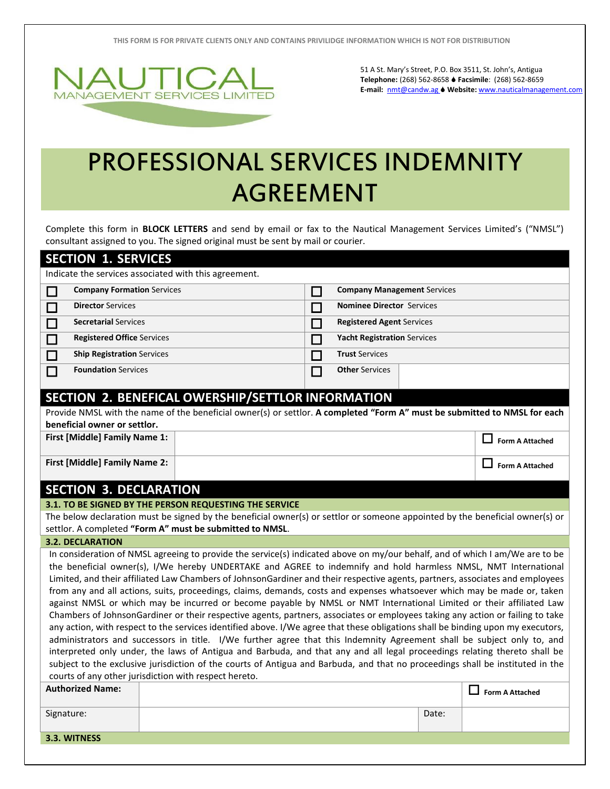**THIS FORM IS FOR PRIVATE CLIENTS ONLY AND CONTAINS PRIVILIDGE INFORMATION WHICH IS NOT FOR DISTRIBUTION**



51 A St. Mary's Street, P.O. Box 3511, St. John's, Antigua **Telephone:** (268) 562-8658 **Facsimile**: (268) 562-8659 **E-mail:** [nmt@candw.ag](mailto:nmt@candw.ag) **Website:** www.nauticalmanagement.com

## PROFESSIONAL SERVICES INDEMNITY AGREEMENT

Complete this form in **BLOCK LETTERS** and send by email or fax to the Nautical Management Services Limited's ("NMSL") consultant assigned to you. The signed original must be sent by mail or courier.

| <b>SECTION 1. SERVICES</b>                                                                                                                                                                                                                                                                                                                                                                                                                                                                                                                                                                                                                                                                                                                                                                                                                                                                                                                                                                                                                                                                                                                                                                                                                                                                                                                                   |                                   |  |                                                                                                                           |        |                                    |       |                              |  |  |  |
|--------------------------------------------------------------------------------------------------------------------------------------------------------------------------------------------------------------------------------------------------------------------------------------------------------------------------------------------------------------------------------------------------------------------------------------------------------------------------------------------------------------------------------------------------------------------------------------------------------------------------------------------------------------------------------------------------------------------------------------------------------------------------------------------------------------------------------------------------------------------------------------------------------------------------------------------------------------------------------------------------------------------------------------------------------------------------------------------------------------------------------------------------------------------------------------------------------------------------------------------------------------------------------------------------------------------------------------------------------------|-----------------------------------|--|---------------------------------------------------------------------------------------------------------------------------|--------|------------------------------------|-------|------------------------------|--|--|--|
| Indicate the services associated with this agreement.                                                                                                                                                                                                                                                                                                                                                                                                                                                                                                                                                                                                                                                                                                                                                                                                                                                                                                                                                                                                                                                                                                                                                                                                                                                                                                        |                                   |  |                                                                                                                           |        |                                    |       |                              |  |  |  |
| $\Box$                                                                                                                                                                                                                                                                                                                                                                                                                                                                                                                                                                                                                                                                                                                                                                                                                                                                                                                                                                                                                                                                                                                                                                                                                                                                                                                                                       | <b>Company Formation Services</b> |  |                                                                                                                           | $\Box$ | <b>Company Management Services</b> |       |                              |  |  |  |
| $\mathcal{L}_{\mathcal{A}}$                                                                                                                                                                                                                                                                                                                                                                                                                                                                                                                                                                                                                                                                                                                                                                                                                                                                                                                                                                                                                                                                                                                                                                                                                                                                                                                                  | <b>Director Services</b>          |  |                                                                                                                           | П      | <b>Nominee Director Services</b>   |       |                              |  |  |  |
| $\Box$                                                                                                                                                                                                                                                                                                                                                                                                                                                                                                                                                                                                                                                                                                                                                                                                                                                                                                                                                                                                                                                                                                                                                                                                                                                                                                                                                       | <b>Secretarial Services</b>       |  |                                                                                                                           | $\Box$ | <b>Registered Agent Services</b>   |       |                              |  |  |  |
| $\Box$                                                                                                                                                                                                                                                                                                                                                                                                                                                                                                                                                                                                                                                                                                                                                                                                                                                                                                                                                                                                                                                                                                                                                                                                                                                                                                                                                       | <b>Registered Office Services</b> |  |                                                                                                                           | П      | <b>Yacht Registration Services</b> |       |                              |  |  |  |
| $\Box$                                                                                                                                                                                                                                                                                                                                                                                                                                                                                                                                                                                                                                                                                                                                                                                                                                                                                                                                                                                                                                                                                                                                                                                                                                                                                                                                                       | <b>Ship Registration Services</b> |  |                                                                                                                           | П      | <b>Trust Services</b>              |       |                              |  |  |  |
| <b>Foundation Services</b><br>$\Box$                                                                                                                                                                                                                                                                                                                                                                                                                                                                                                                                                                                                                                                                                                                                                                                                                                                                                                                                                                                                                                                                                                                                                                                                                                                                                                                         |                                   |  |                                                                                                                           | П      | <b>Other Services</b>              |       |                              |  |  |  |
| SECTION 2. BENEFICAL OWERSHIP/SETTLOR INFORMATION                                                                                                                                                                                                                                                                                                                                                                                                                                                                                                                                                                                                                                                                                                                                                                                                                                                                                                                                                                                                                                                                                                                                                                                                                                                                                                            |                                   |  |                                                                                                                           |        |                                    |       |                              |  |  |  |
|                                                                                                                                                                                                                                                                                                                                                                                                                                                                                                                                                                                                                                                                                                                                                                                                                                                                                                                                                                                                                                                                                                                                                                                                                                                                                                                                                              |                                   |  | Provide NMSL with the name of the beneficial owner(s) or settlor. A completed "Form A" must be submitted to NMSL for each |        |                                    |       |                              |  |  |  |
|                                                                                                                                                                                                                                                                                                                                                                                                                                                                                                                                                                                                                                                                                                                                                                                                                                                                                                                                                                                                                                                                                                                                                                                                                                                                                                                                                              | beneficial owner or settlor.      |  |                                                                                                                           |        |                                    |       |                              |  |  |  |
| First [Middle] Family Name 1:                                                                                                                                                                                                                                                                                                                                                                                                                                                                                                                                                                                                                                                                                                                                                                                                                                                                                                                                                                                                                                                                                                                                                                                                                                                                                                                                |                                   |  |                                                                                                                           |        |                                    |       | ΙI<br><b>Form A Attached</b> |  |  |  |
|                                                                                                                                                                                                                                                                                                                                                                                                                                                                                                                                                                                                                                                                                                                                                                                                                                                                                                                                                                                                                                                                                                                                                                                                                                                                                                                                                              | First [Middle] Family Name 2:     |  |                                                                                                                           |        |                                    |       | <b>Form A Attached</b>       |  |  |  |
|                                                                                                                                                                                                                                                                                                                                                                                                                                                                                                                                                                                                                                                                                                                                                                                                                                                                                                                                                                                                                                                                                                                                                                                                                                                                                                                                                              | <b>SECTION 3. DECLARATION</b>     |  |                                                                                                                           |        |                                    |       |                              |  |  |  |
| 3.1. TO BE SIGNED BY THE PERSON REQUESTING THE SERVICE                                                                                                                                                                                                                                                                                                                                                                                                                                                                                                                                                                                                                                                                                                                                                                                                                                                                                                                                                                                                                                                                                                                                                                                                                                                                                                       |                                   |  |                                                                                                                           |        |                                    |       |                              |  |  |  |
| The below declaration must be signed by the beneficial owner(s) or settlor or someone appointed by the beneficial owner(s) or                                                                                                                                                                                                                                                                                                                                                                                                                                                                                                                                                                                                                                                                                                                                                                                                                                                                                                                                                                                                                                                                                                                                                                                                                                |                                   |  |                                                                                                                           |        |                                    |       |                              |  |  |  |
| settlor. A completed "Form A" must be submitted to NMSL.                                                                                                                                                                                                                                                                                                                                                                                                                                                                                                                                                                                                                                                                                                                                                                                                                                                                                                                                                                                                                                                                                                                                                                                                                                                                                                     |                                   |  |                                                                                                                           |        |                                    |       |                              |  |  |  |
| <b>3.2. DECLARATION</b>                                                                                                                                                                                                                                                                                                                                                                                                                                                                                                                                                                                                                                                                                                                                                                                                                                                                                                                                                                                                                                                                                                                                                                                                                                                                                                                                      |                                   |  |                                                                                                                           |        |                                    |       |                              |  |  |  |
| In consideration of NMSL agreeing to provide the service(s) indicated above on my/our behalf, and of which I am/We are to be<br>the beneficial owner(s), I/We hereby UNDERTAKE and AGREE to indemnify and hold harmless NMSL, NMT International<br>Limited, and their affiliated Law Chambers of JohnsonGardiner and their respective agents, partners, associates and employees<br>from any and all actions, suits, proceedings, claims, demands, costs and expenses whatsoever which may be made or, taken<br>against NMSL or which may be incurred or become payable by NMSL or NMT International Limited or their affiliated Law<br>Chambers of JohnsonGardiner or their respective agents, partners, associates or employees taking any action or failing to take<br>any action, with respect to the services identified above. I/We agree that these obligations shall be binding upon my executors,<br>administrators and successors in title. I/We further agree that this Indemnity Agreement shall be subject only to, and<br>interpreted only under, the laws of Antigua and Barbuda, and that any and all legal proceedings relating thereto shall be<br>subject to the exclusive jurisdiction of the courts of Antigua and Barbuda, and that no proceedings shall be instituted in the<br>courts of any other jurisdiction with respect hereto. |                                   |  |                                                                                                                           |        |                                    |       |                              |  |  |  |
|                                                                                                                                                                                                                                                                                                                                                                                                                                                                                                                                                                                                                                                                                                                                                                                                                                                                                                                                                                                                                                                                                                                                                                                                                                                                                                                                                              | <b>Authorized Name:</b>           |  |                                                                                                                           |        |                                    |       | $\Box$ Form A Attached       |  |  |  |
| Signature:                                                                                                                                                                                                                                                                                                                                                                                                                                                                                                                                                                                                                                                                                                                                                                                                                                                                                                                                                                                                                                                                                                                                                                                                                                                                                                                                                   |                                   |  |                                                                                                                           |        |                                    | Date: |                              |  |  |  |
| 3.3. WITNESS                                                                                                                                                                                                                                                                                                                                                                                                                                                                                                                                                                                                                                                                                                                                                                                                                                                                                                                                                                                                                                                                                                                                                                                                                                                                                                                                                 |                                   |  |                                                                                                                           |        |                                    |       |                              |  |  |  |
|                                                                                                                                                                                                                                                                                                                                                                                                                                                                                                                                                                                                                                                                                                                                                                                                                                                                                                                                                                                                                                                                                                                                                                                                                                                                                                                                                              |                                   |  |                                                                                                                           |        |                                    |       |                              |  |  |  |